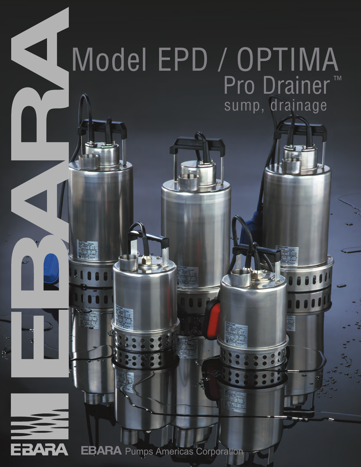## $\blacktriangleleft$ Model EPD / OPTIMA Pro Drainer<sup>™</sup> sump, drainage



Ø,

**EBARA** Pumps Americas Corporation